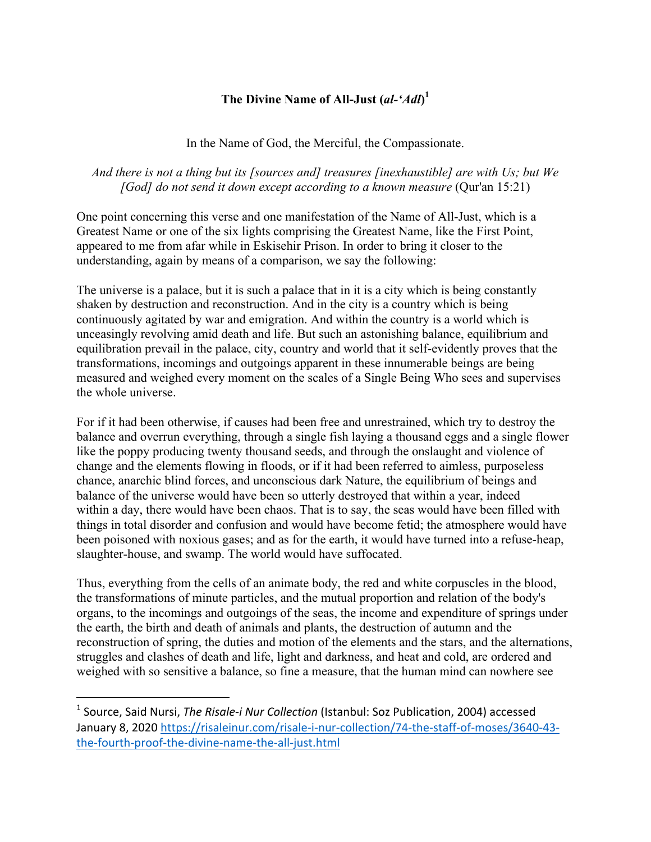## **The Divine Name of All-Just (***al-'Adl***) 1**

## In the Name of God, the Merciful, the Compassionate.

*And there is not a thing but its [sources and] treasures [inexhaustible] are with Us; but We [God] do not send it down except according to a known measure* (Qur'an 15:21)

One point concerning this verse and one manifestation of the Name of All-Just, which is a Greatest Name or one of the six lights comprising the Greatest Name, like the First Point, appeared to me from afar while in Eskisehir Prison. In order to bring it closer to the understanding, again by means of a comparison, we say the following:

The universe is a palace, but it is such a palace that in it is a city which is being constantly shaken by destruction and reconstruction. And in the city is a country which is being continuously agitated by war and emigration. And within the country is a world which is unceasingly revolving amid death and life. But such an astonishing balance, equilibrium and equilibration prevail in the palace, city, country and world that it self-evidently proves that the transformations, incomings and outgoings apparent in these innumerable beings are being measured and weighed every moment on the scales of a Single Being Who sees and supervises the whole universe.

For if it had been otherwise, if causes had been free and unrestrained, which try to destroy the balance and overrun everything, through a single fish laying a thousand eggs and a single flower like the poppy producing twenty thousand seeds, and through the onslaught and violence of change and the elements flowing in floods, or if it had been referred to aimless, purposeless chance, anarchic blind forces, and unconscious dark Nature, the equilibrium of beings and balance of the universe would have been so utterly destroyed that within a year, indeed within a day, there would have been chaos. That is to say, the seas would have been filled with things in total disorder and confusion and would have become fetid; the atmosphere would have been poisoned with noxious gases; and as for the earth, it would have turned into a refuse-heap, slaughter-house, and swamp. The world would have suffocated.

Thus, everything from the cells of an animate body, the red and white corpuscles in the blood, the transformations of minute particles, and the mutual proportion and relation of the body's organs, to the incomings and outgoings of the seas, the income and expenditure of springs under the earth, the birth and death of animals and plants, the destruction of autumn and the reconstruction of spring, the duties and motion of the elements and the stars, and the alternations, struggles and clashes of death and life, light and darkness, and heat and cold, are ordered and weighed with so sensitive a balance, so fine a measure, that the human mind can nowhere see

 

<sup>&</sup>lt;sup>1</sup> Source, Said Nursi, *The Risale-i Nur Collection* (Istanbul: Soz Publication, 2004) accessed January 8, 2020 https://risaleinur.com/risale-i-nur-collection/74-the-staff-of-moses/3640-43the-fourth-proof-the-divine-name-the-all-just.html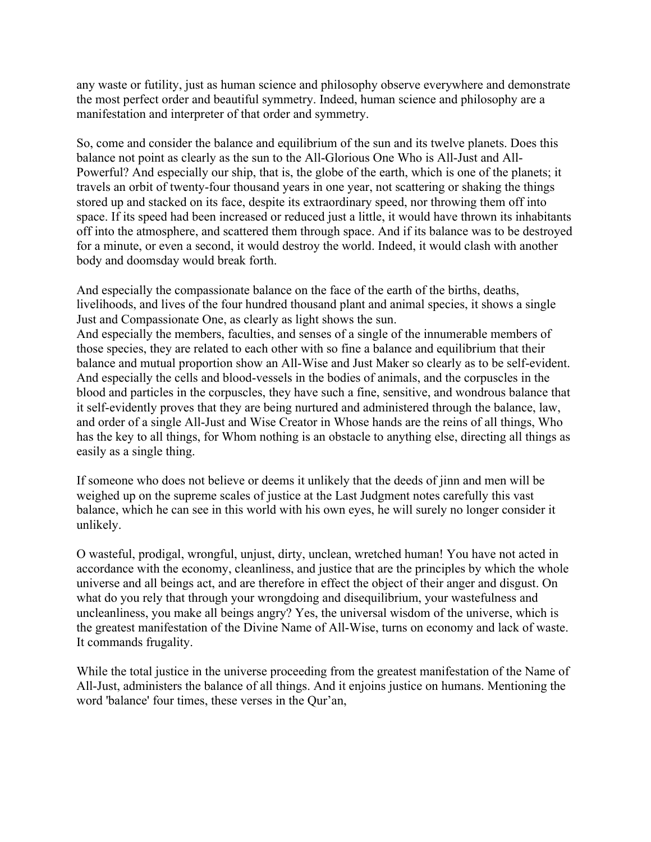any waste or futility, just as human science and philosophy observe everywhere and demonstrate the most perfect order and beautiful symmetry. Indeed, human science and philosophy are a manifestation and interpreter of that order and symmetry.

So, come and consider the balance and equilibrium of the sun and its twelve planets. Does this balance not point as clearly as the sun to the All-Glorious One Who is All-Just and All-Powerful? And especially our ship, that is, the globe of the earth, which is one of the planets; it travels an orbit of twenty-four thousand years in one year, not scattering or shaking the things stored up and stacked on its face, despite its extraordinary speed, nor throwing them off into space. If its speed had been increased or reduced just a little, it would have thrown its inhabitants off into the atmosphere, and scattered them through space. And if its balance was to be destroyed for a minute, or even a second, it would destroy the world. Indeed, it would clash with another body and doomsday would break forth.

And especially the compassionate balance on the face of the earth of the births, deaths, livelihoods, and lives of the four hundred thousand plant and animal species, it shows a single Just and Compassionate One, as clearly as light shows the sun. And especially the members, faculties, and senses of a single of the innumerable members of those species, they are related to each other with so fine a balance and equilibrium that their balance and mutual proportion show an All-Wise and Just Maker so clearly as to be self-evident. And especially the cells and blood-vessels in the bodies of animals, and the corpuscles in the blood and particles in the corpuscles, they have such a fine, sensitive, and wondrous balance that it self-evidently proves that they are being nurtured and administered through the balance, law, and order of a single All-Just and Wise Creator in Whose hands are the reins of all things, Who has the key to all things, for Whom nothing is an obstacle to anything else, directing all things as easily as a single thing.

If someone who does not believe or deems it unlikely that the deeds of jinn and men will be weighed up on the supreme scales of justice at the Last Judgment notes carefully this vast balance, which he can see in this world with his own eyes, he will surely no longer consider it unlikely.

O wasteful, prodigal, wrongful, unjust, dirty, unclean, wretched human! You have not acted in accordance with the economy, cleanliness, and justice that are the principles by which the whole universe and all beings act, and are therefore in effect the object of their anger and disgust. On what do you rely that through your wrongdoing and disequilibrium, your wastefulness and uncleanliness, you make all beings angry? Yes, the universal wisdom of the universe, which is the greatest manifestation of the Divine Name of All-Wise, turns on economy and lack of waste. It commands frugality.

While the total justice in the universe proceeding from the greatest manifestation of the Name of All-Just, administers the balance of all things. And it enjoins justice on humans. Mentioning the word 'balance' four times, these verses in the Qur'an,